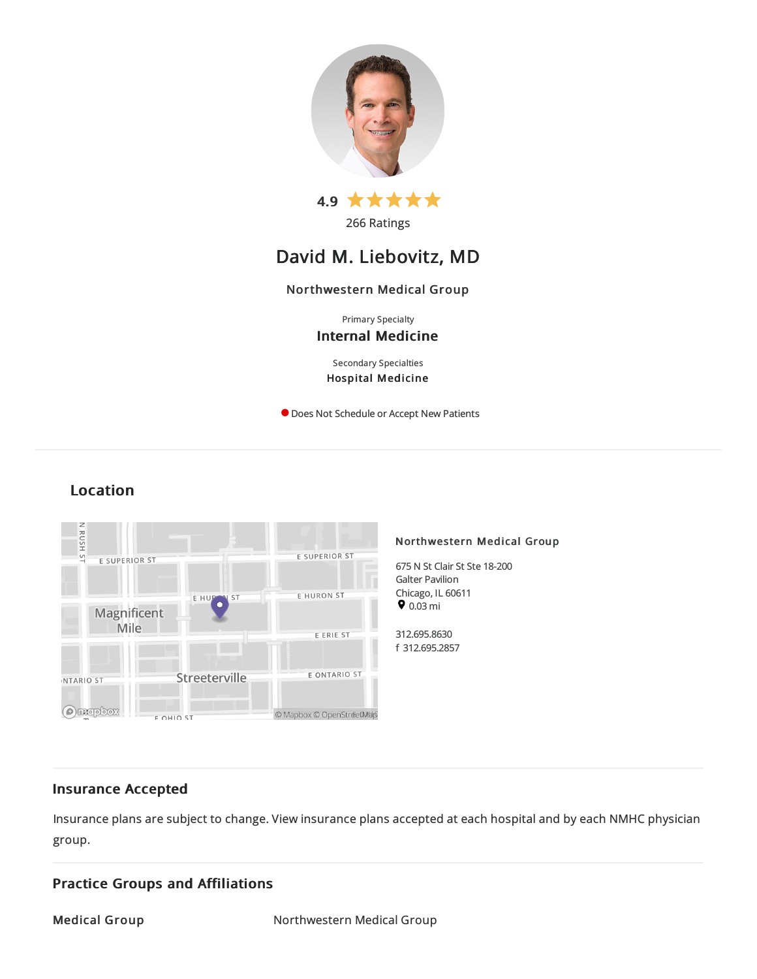

266 Ratings

# David M. Liebovitz, MD

## Northwestern Medical Group

Primary Specialty Internal Medicine

Secondary Specialties Hospital Medicine

**O** Does Not Schedule or Accept New Patients

## Location



## Insurance Accepted

Insurance plans are subject to change. View [insurance](https://www.nm.org/patients-and-visitors/billing-and-insurance/insurance-information/accepted-insurance-plans) plans accepted at each hospital and by each NMHC physician group.

## Practice Groups and Affiliations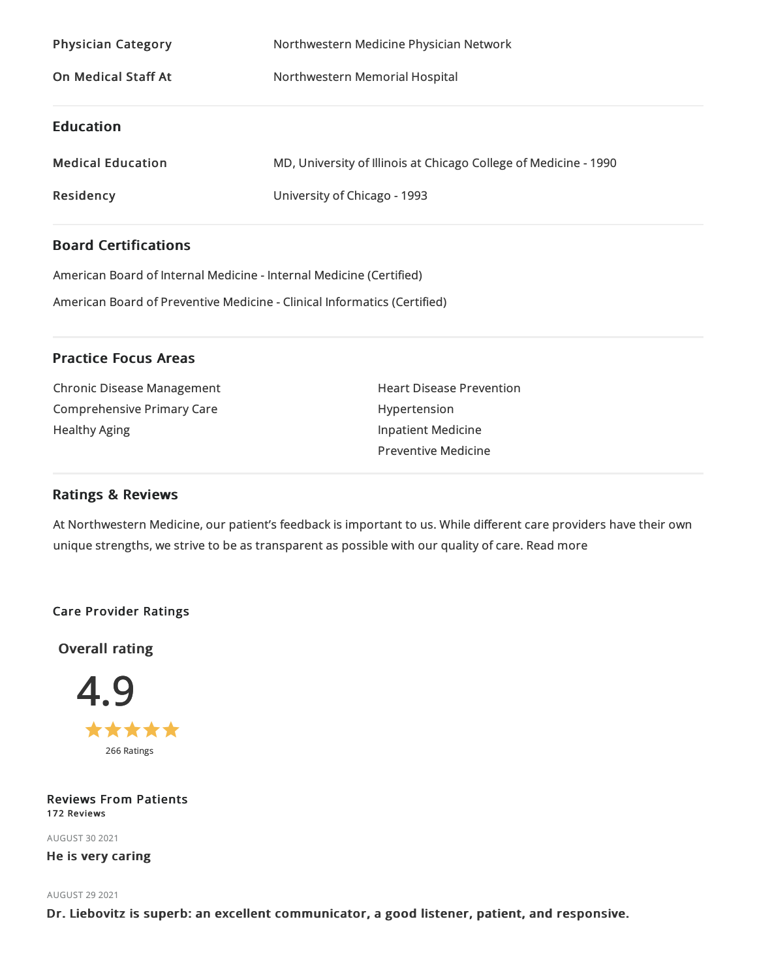| Northwestern Medicine Physician Network<br>Northwestern Memorial Hospital |
|---------------------------------------------------------------------------|
|                                                                           |
| MD, University of Illinois at Chicago College of Medicine - 1990          |
| University of Chicago - 1993                                              |
|                                                                           |

## Board Certifications

American Board of Internal Medicine- Internal Medicine(Certified) American Board of Preventive Medicine- Clinical Informatics (Certified)

## Practice Focus Areas

Chronic Disease Management Comprehensive Primary Care Healthy Aging

Heart Disease Prevention Hypertension Inpatient Medicine Preventive Medicine

## Ratings & Reviews

At Northwestern Medicine, our patient's feedback is important to us. While different care providers have their own unique strengths, we strive to be as transparent as possible with our quality of care. Read more

## Care Provider Ratings

Overall rating



Reviews From Patients 172 Reviews

AUGUST 302021 He is very caring

## AUGUST 29 2021

Dr. Liebovitz is superb: an excellent communicator, a good listener, patient, and responsive.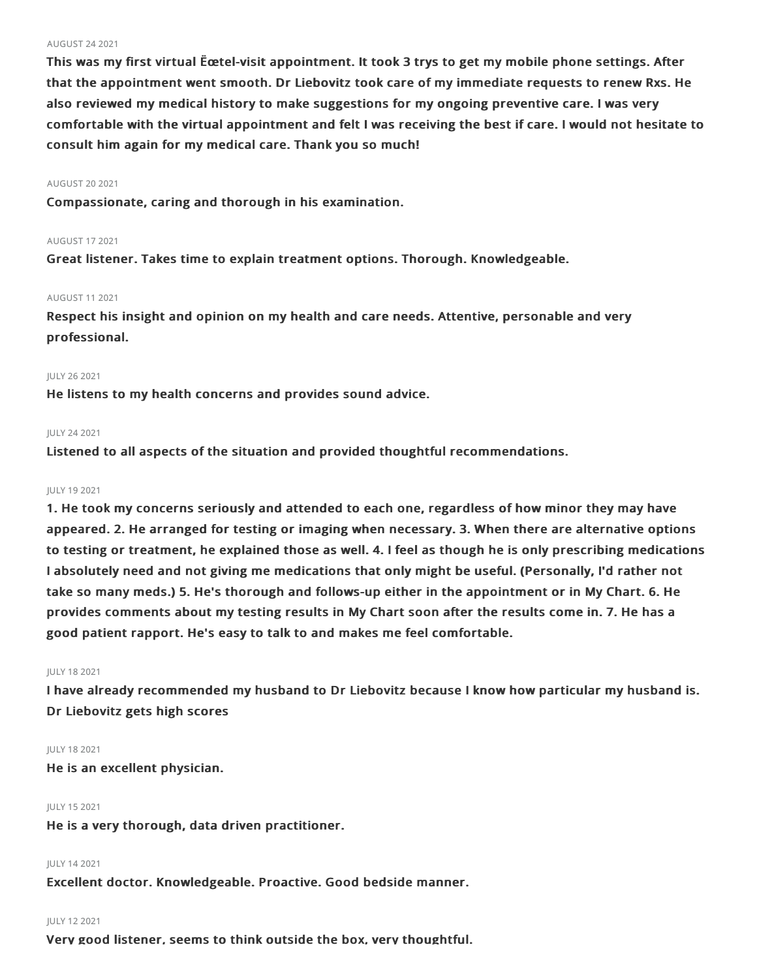#### AUGUST 242021

This was my first virtual Ëœtel-visit appointment. It took 3 trys to get my mobile phone settings. After that the appointment went smooth. Dr Liebovitz took care of my immediate requests to renew Rxs. He also reviewed my medical history to make suggestions for my ongoing preventive care. I was very comfortable with the virtual appointment and felt I was receiving the best if care. I would not hesitate to consult him again for my medical care. Thank you so much!

## AUGUST 202021

Compassionate, caring and thorough in his examination.

## AUGUST 172021

Great listener. Takes time to explain treatment options. Thorough. Knowledgeable.

## AUGUST 112021

Respect his insight and opinion on my health and care needs. Attentive, personable and very professional.

## JULY 262021

He listens to my health concerns and provides sound advice.

## JULY 242021

Listened to all aspects of the situation and provided thoughtful recommendations.

## JULY 192021

1. He took my concerns seriously and attended to each one, regardless of how minor they may have appeared. 2. He arranged for testing or imaging when necessary. 3. When there are alternative options to testing or treatment, he explained those as well. 4. I feel as though he is only prescribing medications I absolutely need and not giving me medications that only might be useful. (Personally, I'd rather not take so many meds.) 5. He's thorough and follows-up either in the appointment or in My Chart. 6. He provides comments about my testing results in My Chart soon after the results come in. 7. He has a good patient rapport. He's easy to talk to and makes me feel comfortable.

## JULY 182021

I have already recommended my husband to Dr Liebovitz because I know how particular my husband is. Dr Liebovitz gets high scores

#### JULY 182021

He is an excellent physician.

## JULY 152021

He is a very thorough, data driven practitioner.

## JULY 142021

Excellent doctor. Knowledgeable. Proactive. Good bedside manner.

## JULY 122021

Very good listener, seems to think outside the box, very thoughtful.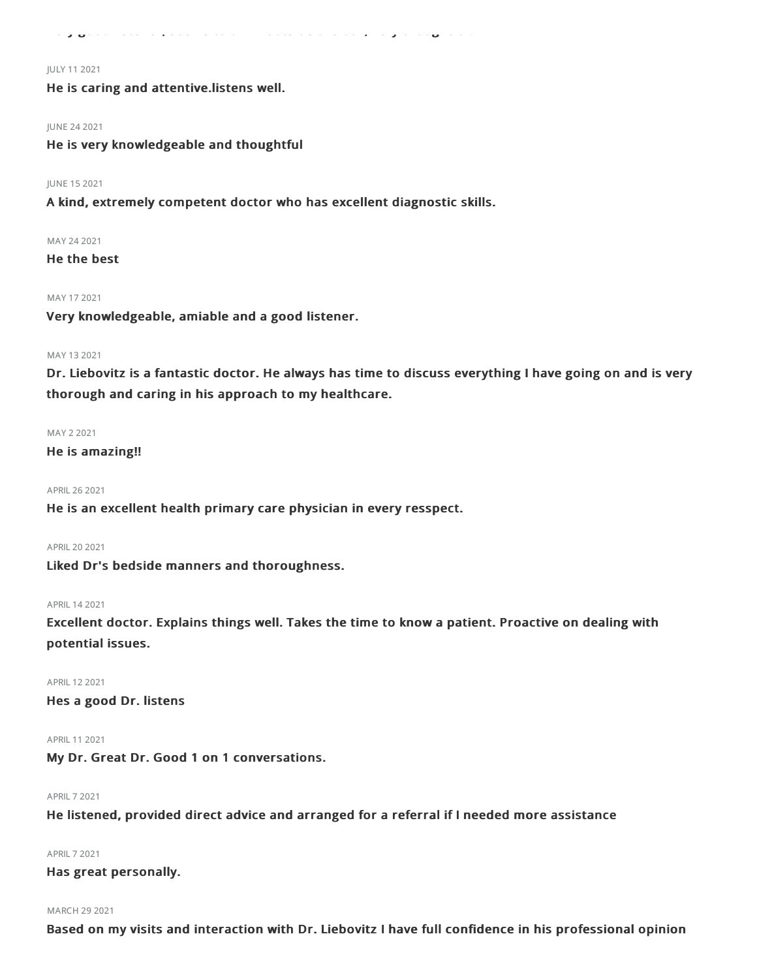Very good listener, seems to think outside the box, very thoughtful.

#### JULY 112021

He is caring and attentive.listens well.

#### JUNE 242021

He is very knowledgeable and thoughtful

## JUNE 152021

A kind, extremely competent doctor who has excellent diagnostic skills.

## MAY 242021

He the best

#### MAY 172021

Very knowledgeable, amiable and a good listener.

#### MAY 132021

Dr. Liebovitz is a fantastic doctor. He always has time to discuss everything I have going on and is very thorough and caring in his approach to my healthcare.

#### MAY 22021

### He is amazing!!

APRIL262021

He is an excellent health primary care physician in every resspect.

APRIL202021

Liked Dr's bedside manners and thoroughness.

#### APRIL142021

Excellent doctor. Explains things well. Takes the time to know a patient. Proactive on dealing with potential issues.

APRIL 12 2021

Hes a good Dr. listens

APRIL 11 2021

My Dr. Great Dr. Good 1 on 1 conversations.

### APRIL72021

He listened, provided direct advice and arranged for a referral if I needed more assistance

## APRIL72021

## Has great personally.

## MARCH 29 2021

Based on my visits and interaction with Dr. Liebovitz I have full confidence in his professional opinion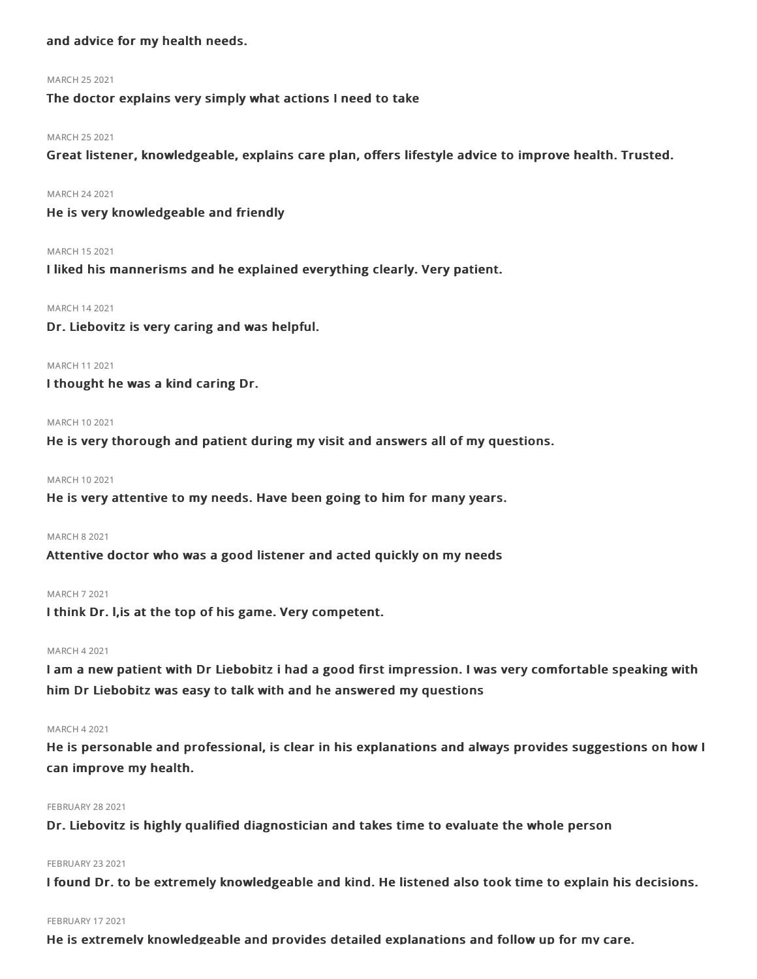## and advice for my health needs.

#### MARCH 252021

The doctor explains very simply what actions I need to take

#### MARCH 252021

Great listener, knowledgeable, explains care plan, offers lifestyle advice to improve health. Trusted.

#### MARCH 242021

He is very knowledgeable and friendly

#### MARCH 152021

I liked his mannerisms and he explained everything clearly. Very patient.

#### MARCH 142021

Dr. Liebovitz is very caring and was helpful.

#### MARCH 112021

I thought he was a kind caring Dr.

#### MARCH 10 2021

He is very thorough and patient during my visit and answers all of my questions.

#### MARCH 102021

He is very attentive to my needs. Have been going to him for many years.

#### MARCH 82021

Attentive doctor who was a good listener and acted quickly on my needs

#### MARCH 72021

I think Dr. l,is at the top of his game. Very competent.

#### MARCH 42021

I am a new patient with Dr Liebobitz i had a good first impression. I was very comfortable speaking with him Dr Liebobitz was easy to talk with and he answered my questions

#### MARCH 42021

He is personable and professional, is clear in his explanations and always provides suggestions on how I can improve my health.

#### **FEBRUARY 28 2021**

Dr. Liebovitz is highly qualified diagnostician and takes time to evaluate the whole person

#### **FEBRUARY 23 2021**

I found Dr. to be extremely knowledgeable and kind. He listened also took time to explain his decisions.

#### FEBRUARY 17 2021

He is extremely knowledgeable and provides detailed explanations and follow up for my care.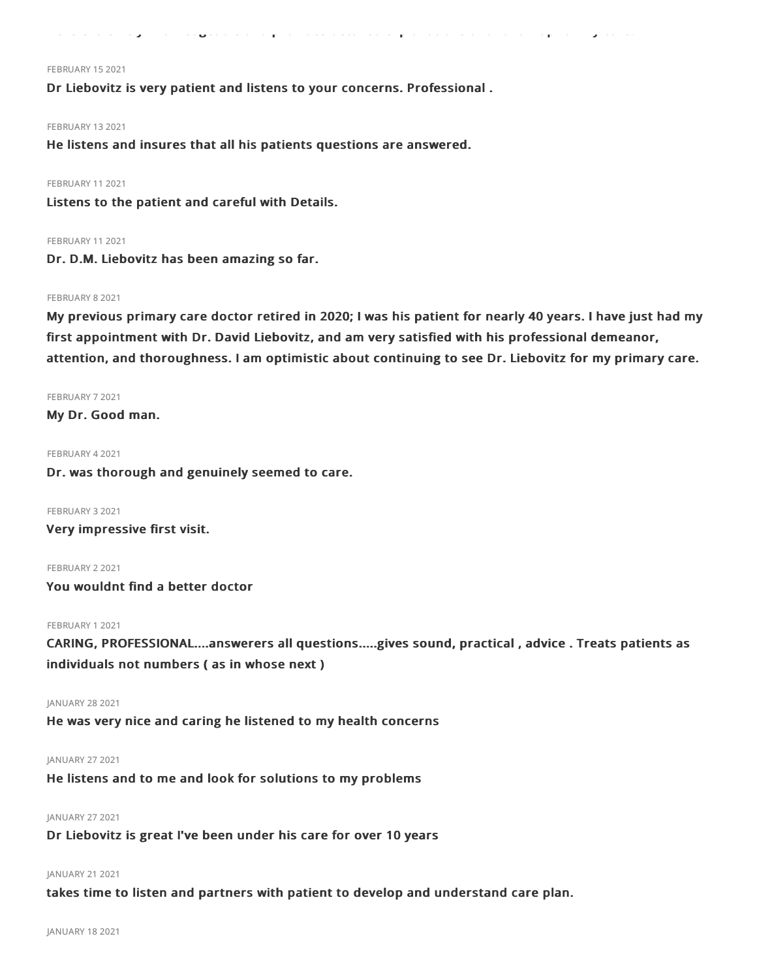He is extremely knowledgeable and provides detailed explanations and follow up for my care.

#### FEBRUARY 15 2021

Dr Liebovitz is very patient and listens to your concerns. Professional .

FEBRUARY 132021

He listens and insures that all his patients questions are answered.

### FEBRUARY 11 2021

Listens to the patient and careful with Details.

#### FEBRUARY 11 2021

Dr. D.M. Liebovitz has been amazing so far.

#### FEBRUARY 8 2021

My previous primary care doctor retired in 2020; I was his patient for nearly 40 years. I have just had my first appointment with Dr. David Liebovitz, and am very satisfied with his professional demeanor, attention, and thoroughness. I am optimistic about continuing to see Dr. Liebovitz for my primary care.

FEBRUARY 72021 My Dr. Good man.

FEBRUARY 42021

Dr. was thorough and genuinely seemed to care.

FEBRUARY 32021 Very impressive first visit.

FEBRUARY 22021 You wouldnt find a better doctor

### FEBRUARY 12021

CARING, PROFESSIONAL....answerers all questions.....gives sound, practical , advice . Treats patients as individuals not numbers ( as in whose next )

JANUARY 28 2021

He was very nice and caring he listened to my health concerns

JANUARY 27 2021

He listens and to me and look for solutions to my problems

#### JANUARY 27 2021

Dr Liebovitz is great I've been under his care for over 10 years

#### JANUARY 21 2021

takes time to listen and partners with patient to develop and understand care plan.

JANUARY 182021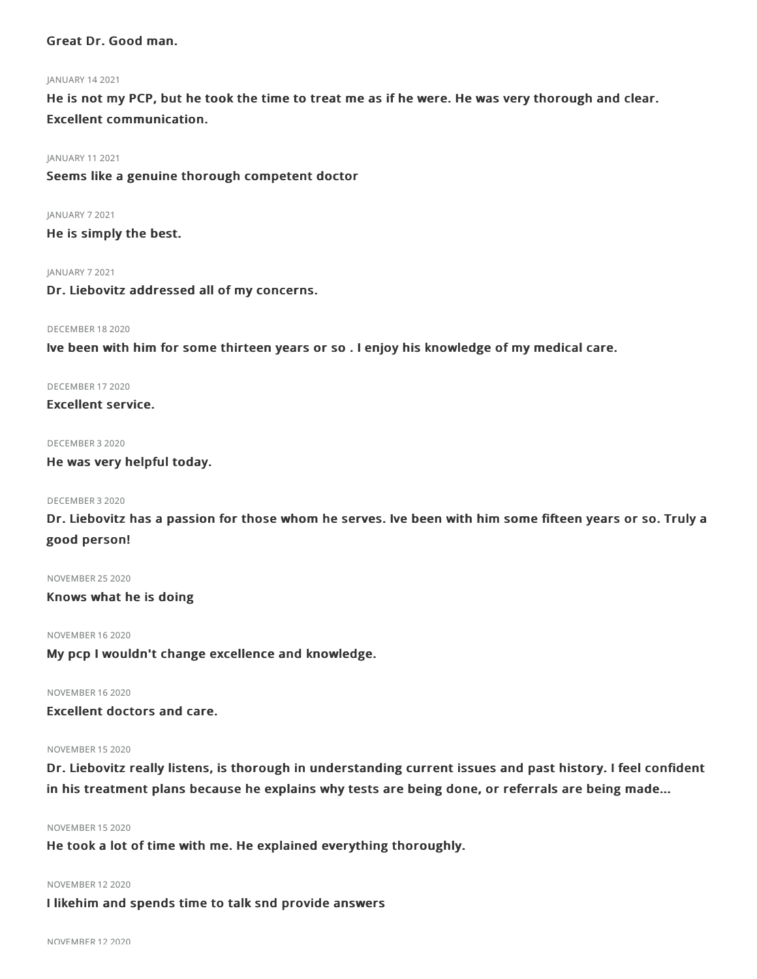## Great Dr. Good man.

#### JANUARY 142021

He is not my PCP, but he took the time to treat me as if he were. He was very thorough and clear. Excellent communication.

JANUARY 112021

Seems like a genuine thorough competent doctor

JANUARY 72021

He is simply the best.

JANUARY 72021

Dr. Liebovitz addressed all of my concerns.

#### DECEMBER 182020

Ive been with him for some thirteen years or so . I enjoy his knowledge of my medical care.

DECEMBER 172020

Excellent service.

#### DECEMBER 32020

He was very helpful today.

## DECEMBER 32020

Dr. Liebovitz has a passion for those whom he serves. Ive been with him some fifteen years or so. Truly a good person!

NOVEMBER 252020

Knows what he is doing

NOVEMBER 162020

My pcp I wouldn't change excellence and knowledge.

## NOVEMBER 162020

Excellent doctors and care.

## NOVEMBER 152020

Dr. Liebovitz really listens, is thorough in understanding current issues and past history. I feel confident in his treatment plans because he explains why tests are being done, or referrals are being made...

## NOVEMBER 152020

He took a lot of time with me. He explained everything thoroughly.

#### NOVEMBER 122020

I likehim and spends time to talk snd provide answers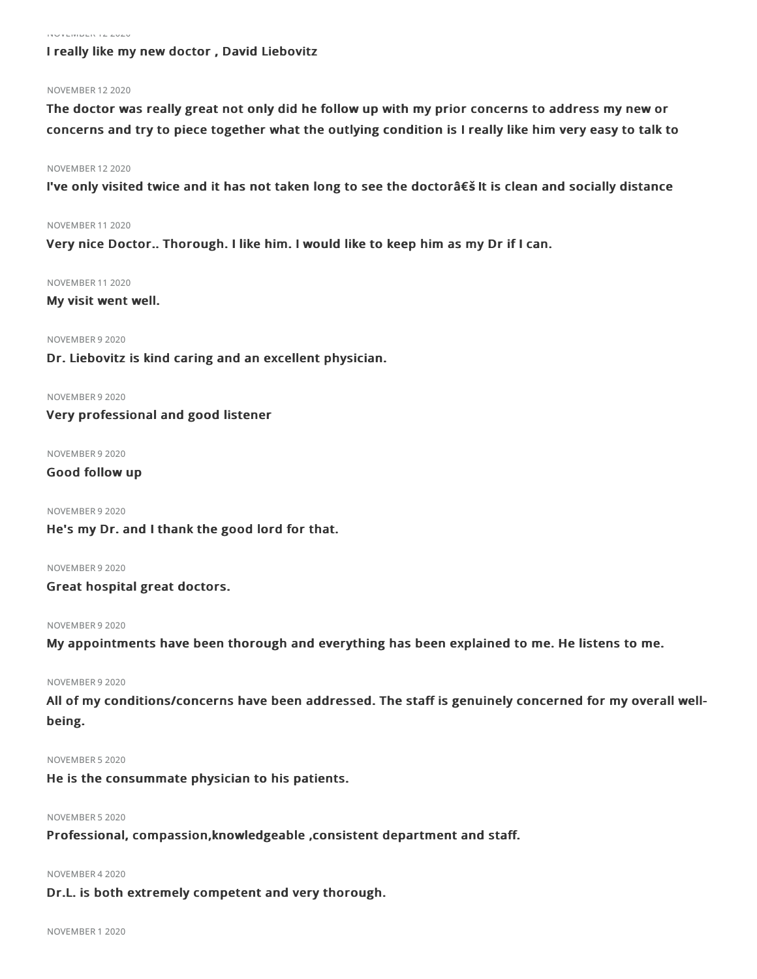#### NOVEMBER 122020

## I really like my new doctor , David Liebovitz

#### NOVEMBER 122020

The doctor was really great not only did he follow up with my prior concerns to address my new or concerns and try to piece together what the outlying condition is I really like him very easy to talk to

#### NOVEMBER 122020

I've only visited twice and it has not taken long to see the doctorâ€**š** It is clean and socially distance

NOVEMBER 112020

Very nice Doctor.. Thorough. I like him. I would like to keep him as my Dr if I can.

#### NOVEMBER 112020

My visit went well.

#### NOVEMBER 92020

Dr. Liebovitz is kind caring and an excellent physician.

NOVEMBER 92020

Very professional and good listener

NOVEMBER 92020

## Good follow up

NOVEMBER 92020 He's my Dr. and I thank the good lord for that.

NOVEMBER 92020 Great hospital great doctors.

#### NOVEMBER 92020

My appointments have been thorough and everything has been explained to me. He listens to me.

#### NOVEMBER 92020

All of my conditions/concerns have been addressed. The staff is genuinely concerned for my overall wellbeing.

#### NOVEMBER 52020

He is the consummate physician to his patients.

## NOVEMBER 52020

Professional, compassion,knowledgeable ,consistent department and staff.

#### NOVEMBER 42020

Dr.L. is both extremely competent and very thorough.